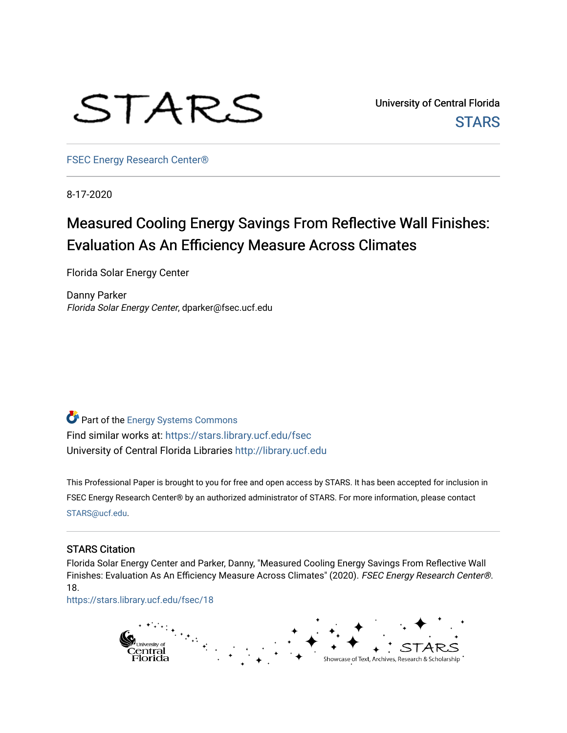

University of Central Florida **STARS** 

[FSEC Energy Research Center®](https://stars.library.ucf.edu/fsec) 

8-17-2020

# Measured Cooling Energy Savings From Reflective Wall Finishes: Evaluation As An Efficiency Measure Across Climates

Florida Solar Energy Center

Danny Parker Florida Solar Energy Center, dparker@fsec.ucf.edu

**Part of the Energy Systems Commons** Find similar works at: <https://stars.library.ucf.edu/fsec> University of Central Florida Libraries [http://library.ucf.edu](http://library.ucf.edu/) 

This Professional Paper is brought to you for free and open access by STARS. It has been accepted for inclusion in FSEC Energy Research Center® by an authorized administrator of STARS. For more information, please contact [STARS@ucf.edu](mailto:STARS@ucf.edu).

#### STARS Citation

Florida Solar Energy Center and Parker, Danny, "Measured Cooling Energy Savings From Reflective Wall Finishes: Evaluation As An Efficiency Measure Across Climates" (2020). FSEC Energy Research Center®. 18.

[https://stars.library.ucf.edu/fsec/18](https://stars.library.ucf.edu/fsec/18?utm_source=stars.library.ucf.edu%2Ffsec%2F18&utm_medium=PDF&utm_campaign=PDFCoverPages) 

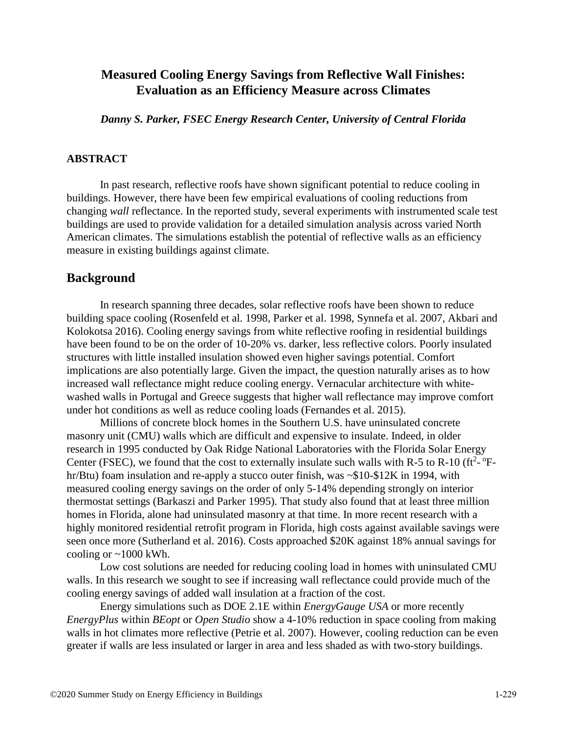# **Measured Cooling Energy Savings from Reflective Wall Finishes: Evaluation as an Efficiency Measure across Climates**

*Danny S. Parker, FSEC Energy Research Center, University of Central Florida*

# **ABSTRACT**

In past research, reflective roofs have shown significant potential to reduce cooling in buildings. However, there have been few empirical evaluations of cooling reductions from changing *wall* reflectance. In the reported study, several experiments with instrumented scale test buildings are used to provide validation for a detailed simulation analysis across varied North American climates. The simulations establish the potential of reflective walls as an efficiency measure in existing buildings against climate.

# **Background**

In research spanning three decades, solar reflective roofs have been shown to reduce building space cooling (Rosenfeld et al. 1998, Parker et al. 1998, Synnefa et al. 2007, Akbari and Kolokotsa 2016). Cooling energy savings from white reflective roofing in residential buildings have been found to be on the order of 10-20% vs. darker, less reflective colors. Poorly insulated structures with little installed insulation showed even higher savings potential. Comfort implications are also potentially large. Given the impact, the question naturally arises as to how increased wall reflectance might reduce cooling energy. Vernacular architecture with whitewashed walls in Portugal and Greece suggests that higher wall reflectance may improve comfort under hot conditions as well as reduce cooling loads (Fernandes et al. 2015).

Millions of concrete block homes in the Southern U.S. have uninsulated concrete masonry unit (CMU) walls which are difficult and expensive to insulate. Indeed, in older research in 1995 conducted by Oak Ridge National Laboratories with the Florida Solar Energy Center (FSEC), we found that the cost to externally insulate such walls with R-5 to R-10 ( $ft^2$ - $°F$ hr/Btu) foam insulation and re-apply a stucco outer finish, was ~\$10-\$12K in 1994, with measured cooling energy savings on the order of only 5-14% depending strongly on interior thermostat settings (Barkaszi and Parker 1995). That study also found that at least three million homes in Florida, alone had uninsulated masonry at that time. In more recent research with a highly monitored residential retrofit program in Florida, high costs against available savings were seen once more (Sutherland et al. 2016). Costs approached \$20K against 18% annual savings for cooling or  $\sim$ 1000 kWh.

Low cost solutions are needed for reducing cooling load in homes with uninsulated CMU walls. In this research we sought to see if increasing wall reflectance could provide much of the cooling energy savings of added wall insulation at a fraction of the cost.

Energy simulations such as DOE 2.1E within *EnergyGauge USA* or more recently *EnergyPlus* within *BEopt* or *Open Studio* show a 4-10% reduction in space cooling from making walls in hot climates more reflective (Petrie et al. 2007). However, cooling reduction can be even greater if walls are less insulated or larger in area and less shaded as with two-story buildings.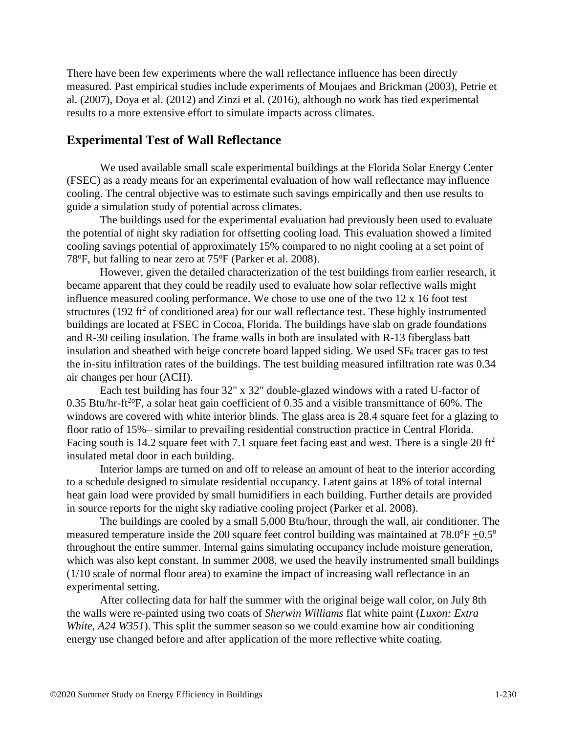There have been few experiments where the wall reflectance influence has been directly measured. Past empirical studies include experiments of Moujaes and Brickman (2003), Petrie et al. (2007), Doya et al. (2012) and Zinzi et al. (2016), although no work has tied experimental results to a more extensive effort to simulate impacts across climates.

# **Experimental Test of Wall Reflectance**

We used available small scale experimental buildings at the Florida Solar Energy Center (FSEC) as a ready means for an experimental evaluation of how wall reflectance may influence cooling. The central objective was to estimate such savings empirically and then use results to guide a simulation study of potential across climates.

The buildings used for the experimental evaluation had previously been used to evaluate the potential of night sky radiation for offsetting cooling load. This evaluation showed a limited cooling savings potential of approximately 15% compared to no night cooling at a set point of 78°F, but falling to near zero at 75°F (Parker et al. 2008).

However, given the detailed characterization of the test buildings from earlier research, it became apparent that they could be readily used to evaluate how solar reflective walls might influence measured cooling performance. We chose to use one of the two 12 x 16 foot test structures (192 ft<sup>2</sup> of conditioned area) for our wall reflectance test. These highly instrumented buildings are located at FSEC in Cocoa, Florida. The buildings have slab on grade foundations and R-30 ceiling insulation. The frame walls in both are insulated with R-13 fiberglass batt insulation and sheathed with beige concrete board lapped siding. We used  $SF<sub>6</sub>$  tracer gas to test the in-situ infiltration rates of the buildings. The test building measured infiltration rate was 0.34 air changes per hour (ACH).

Each test building has four 32" x 32" double-glazed windows with a rated U-factor of 0.35 Btu/hr-ft<sup>2o</sup>F, a solar heat gain coefficient of 0.35 and a visible transmittance of 60%. The windows are covered with white interior blinds. The glass area is 28.4 square feet for a glazing to floor ratio of 15%– similar to prevailing residential construction practice in Central Florida. Facing south is 14.2 square feet with 7.1 square feet facing east and west. There is a single 20  $\text{ft}^2$ insulated metal door in each building.

Interior lamps are turned on and off to release an amount of heat to the interior according to a schedule designed to simulate residential occupancy. Latent gains at 18% of total internal heat gain load were provided by small humidifiers in each building. Further details are provided in source reports for the night sky radiative cooling project (Parker et al. 2008).

The buildings are cooled by a small 5,000 Btu/hour, through the wall, air conditioner. The measured temperature inside the 200 square feet control building was maintained at  $78.0^{\circ}F +0.5^{\circ}$ throughout the entire summer. Internal gains simulating occupancy include moisture generation, which was also kept constant. In summer 2008, we used the heavily instrumented small buildings (1/10 scale of normal floor area) to examine the impact of increasing wall reflectance in an experimental setting.

After collecting data for half the summer with the original beige wall color, on July 8th the walls were re-painted using two coats of *Sherwin Williams* flat white paint (*Luxon: Extra White, A24 W351*). This split the summer season so we could examine how air conditioning energy use changed before and after application of the more reflective white coating.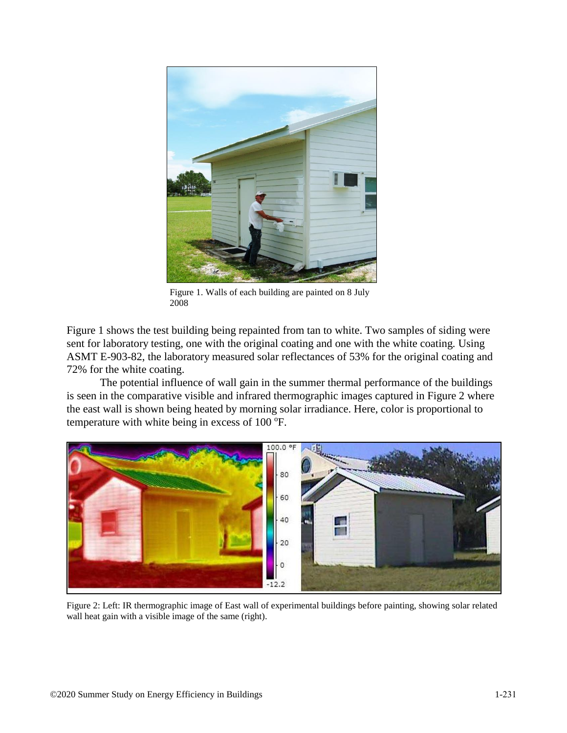

Figure 1. Walls of each building are painted on 8 July 2008

Figure 1 shows the test building being repainted from tan to white. Two samples of siding were sent for laboratory testing, one with the original coating and one with the white coating*.* Using ASMT E-903-82, the laboratory measured solar reflectances of 53% for the original coating and 72% for the white coating.

The potential influence of wall gain in the summer thermal performance of the buildings is seen in the comparative visible and infrared thermographic images captured in Figure 2 where the east wall is shown being heated by morning solar irradiance. Here, color is proportional to temperature with white being in excess of  $100^{\circ}$ F.

![](_page_3_Picture_4.jpeg)

Figure 2: Left: IR thermographic image of East wall of experimental buildings before painting, showing solar related wall heat gain with a visible image of the same (right).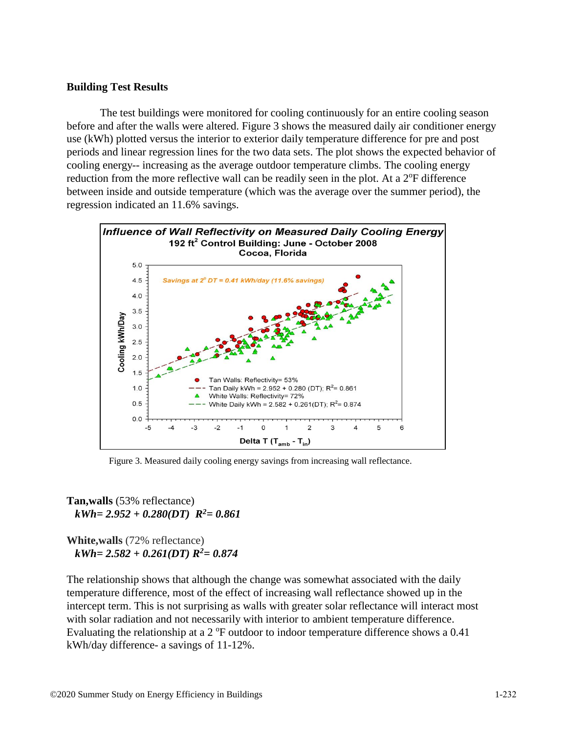# **Building Test Results**

The test buildings were monitored for cooling continuously for an entire cooling season before and after the walls were altered. Figure 3 shows the measured daily air conditioner energy use (kWh) plotted versus the interior to exterior daily temperature difference for pre and post periods and linear regression lines for the two data sets. The plot shows the expected behavior of cooling energy-- increasing as the average outdoor temperature climbs. The cooling energy reduction from the more reflective wall can be readily seen in the plot. At a  $2^{\circ}F$  difference between inside and outside temperature (which was the average over the summer period), the regression indicated an 11.6% savings.

![](_page_4_Figure_2.jpeg)

Figure 3. Measured daily cooling energy savings from increasing wall reflectance.

**Tan,walls** (53% reflectance)  *kWh= 2.952 + 0.280(DT) R<sup>2</sup>= 0.861*

**White,walls** (72% reflectance)  *kWh= 2.582 + 0.261(DT) R<sup>2</sup>= 0.874*

The relationship shows that although the change was somewhat associated with the daily temperature difference, most of the effect of increasing wall reflectance showed up in the intercept term. This is not surprising as walls with greater solar reflectance will interact most with solar radiation and not necessarily with interior to ambient temperature difference. Evaluating the relationship at a  $2^{\circ}$ F outdoor to indoor temperature difference shows a 0.41 kWh/day difference- a savings of 11-12%.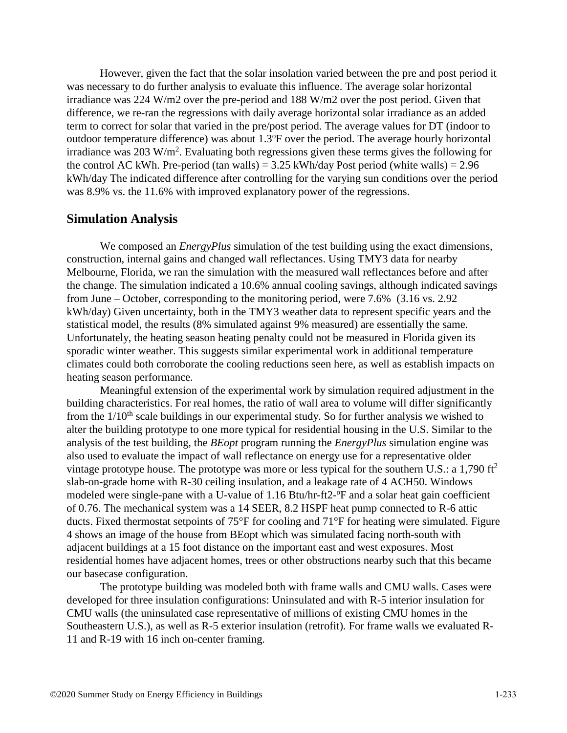However, given the fact that the solar insolation varied between the pre and post period it was necessary to do further analysis to evaluate this influence. The average solar horizontal irradiance was 224 W/m2 over the pre-period and 188 W/m2 over the post period. Given that difference, we re-ran the regressions with daily average horizontal solar irradiance as an added term to correct for solar that varied in the pre/post period. The average values for DT (indoor to outdoor temperature difference) was about  $1.3^{\circ}$ F over the period. The average hourly horizontal irradiance was  $203 \text{ W/m}^2$ . Evaluating both regressions given these terms gives the following for the control AC kWh. Pre-period (tan walls) =  $3.25$  kWh/day Post period (white walls) =  $2.96$ kWh/day The indicated difference after controlling for the varying sun conditions over the period was 8.9% vs. the 11.6% with improved explanatory power of the regressions.

#### **Simulation Analysis**

We composed an *EnergyPlus* simulation of the test building using the exact dimensions, construction, internal gains and changed wall reflectances. Using TMY3 data for nearby Melbourne, Florida, we ran the simulation with the measured wall reflectances before and after the change. The simulation indicated a 10.6% annual cooling savings, although indicated savings from June – October, corresponding to the monitoring period, were 7.6% (3.16 vs. 2.92 kWh/day) Given uncertainty, both in the TMY3 weather data to represent specific years and the statistical model, the results (8% simulated against 9% measured) are essentially the same. Unfortunately, the heating season heating penalty could not be measured in Florida given its sporadic winter weather. This suggests similar experimental work in additional temperature climates could both corroborate the cooling reductions seen here, as well as establish impacts on heating season performance.

Meaningful extension of the experimental work by simulation required adjustment in the building characteristics. For real homes, the ratio of wall area to volume will differ significantly from the  $1/10<sup>th</sup>$  scale buildings in our experimental study. So for further analysis we wished to alter the building prototype to one more typical for residential housing in the U.S. Similar to the analysis of the test building, the *BEopt* program running the *EnergyPlus* simulation engine was also used to evaluate the impact of wall reflectance on energy use for a representative older vintage prototype house. The prototype was more or less typical for the southern U.S.: a 1,790  $\text{ft}^2$ slab-on-grade home with R-30 ceiling insulation, and a leakage rate of 4 ACH50. Windows modeled were single-pane with a U-value of 1.16 Btu/hr-ft2-<sup>o</sup>F and a solar heat gain coefficient of 0.76. The mechanical system was a 14 SEER, 8.2 HSPF heat pump connected to R-6 attic ducts. Fixed thermostat setpoints of 75°F for cooling and 71°F for heating were simulated. Figure 4 shows an image of the house from BEopt which was simulated facing north-south with adjacent buildings at a 15 foot distance on the important east and west exposures. Most residential homes have adjacent homes, trees or other obstructions nearby such that this became our basecase configuration.

The prototype building was modeled both with frame walls and CMU walls. Cases were developed for three insulation configurations: Uninsulated and with R-5 interior insulation for CMU walls (the uninsulated case representative of millions of existing CMU homes in the Southeastern U.S.), as well as R-5 exterior insulation (retrofit). For frame walls we evaluated R-11 and R-19 with 16 inch on-center framing.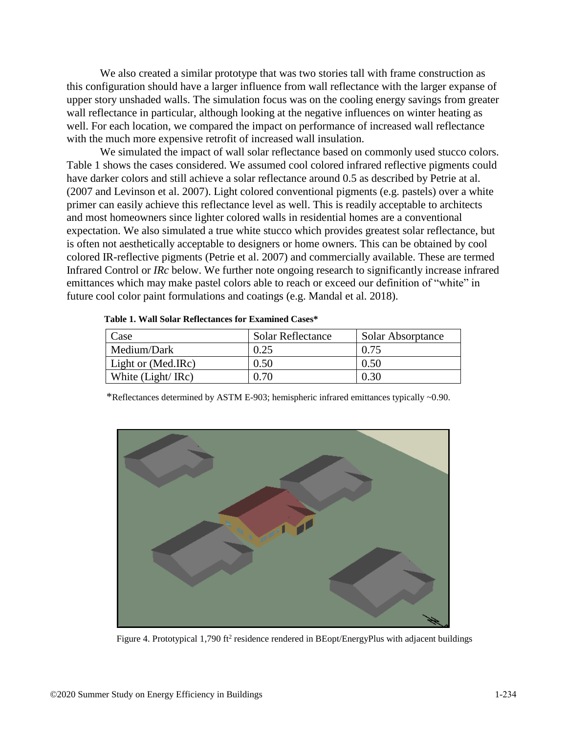We also created a similar prototype that was two stories tall with frame construction as this configuration should have a larger influence from wall reflectance with the larger expanse of upper story unshaded walls. The simulation focus was on the cooling energy savings from greater wall reflectance in particular, although looking at the negative influences on winter heating as well. For each location, we compared the impact on performance of increased wall reflectance with the much more expensive retrofit of increased wall insulation.

We simulated the impact of wall solar reflectance based on commonly used stucco colors. Table 1 shows the cases considered. We assumed cool colored infrared reflective pigments could have darker colors and still achieve a solar reflectance around 0.5 as described by Petrie at al. (2007 and Levinson et al. 2007). Light colored conventional pigments (e.g. pastels) over a white primer can easily achieve this reflectance level as well. This is readily acceptable to architects and most homeowners since lighter colored walls in residential homes are a conventional expectation. We also simulated a true white stucco which provides greatest solar reflectance, but is often not aesthetically acceptable to designers or home owners. This can be obtained by cool colored IR-reflective pigments (Petrie et al. 2007) and commercially available. These are termed Infrared Control or *IRc* below. We further note ongoing research to significantly increase infrared emittances which may make pastel colors able to reach or exceed our definition of "white" in future cool color paint formulations and coatings (e.g. Mandal et al. 2018).

| Case               | <b>Solar Reflectance</b> | Solar Absorptance |
|--------------------|--------------------------|-------------------|
| Medium/Dark        | 0.25                     | 0.75              |
| Light or (Med.IRc) | 0.50                     | 0.50              |
| White (Light/ IRc) | ).70                     | 0.30              |

|  |  |  | Table 1. Wall Solar Reflectances for Examined Cases* |  |  |  |
|--|--|--|------------------------------------------------------|--|--|--|
|--|--|--|------------------------------------------------------|--|--|--|

\*Reflectances determined by ASTM E-903; hemispheric infrared emittances typically ~0.90.

![](_page_6_Figure_5.jpeg)

Figure 4. Prototypical 1,790 ft<sup>2</sup> residence rendered in BEopt/EnergyPlus with adjacent buildings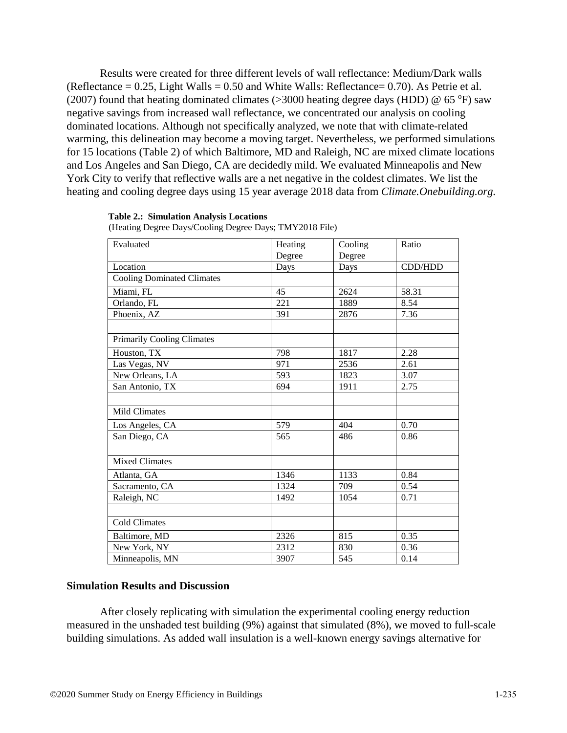Results were created for three different levels of wall reflectance: Medium/Dark walls (Reflectance  $= 0.25$ , Light Walls  $= 0.50$  and White Walls: Reflectance  $= 0.70$ ). As Petrie et al. (2007) found that heating dominated climates ( $>$ 3000 heating degree days (HDD) @ 65 °F) saw negative savings from increased wall reflectance, we concentrated our analysis on cooling dominated locations. Although not specifically analyzed, we note that with climate-related warming, this delineation may become a moving target. Nevertheless, we performed simulations for 15 locations (Table 2) of which Baltimore, MD and Raleigh, NC are mixed climate locations and Los Angeles and San Diego, CA are decidedly mild. We evaluated Minneapolis and New York City to verify that reflective walls are a net negative in the coldest climates. We list the heating and cooling degree days using 15 year average 2018 data from *Climate.Onebuilding.org.*

#### **Table 2.: Simulation Analysis Locations**

| Evaluated                         | Heating | Cooling | Ratio   |
|-----------------------------------|---------|---------|---------|
|                                   | Degree  | Degree  |         |
| Location                          | Days    | Days    | CDD/HDD |
| <b>Cooling Dominated Climates</b> |         |         |         |
| Miami, FL                         | 45      | 2624    | 58.31   |
| Orlando, FL                       | 221     | 1889    | 8.54    |
| Phoenix, AZ                       | 391     | 2876    | 7.36    |
|                                   |         |         |         |
| <b>Primarily Cooling Climates</b> |         |         |         |
| Houston, TX                       | 798     | 1817    | 2.28    |
| Las Vegas, NV                     | 971     | 2536    | 2.61    |
| New Orleans, LA                   | 593     | 1823    | 3.07    |
| San Antonio, TX                   | 694     | 1911    | 2.75    |
|                                   |         |         |         |
| <b>Mild Climates</b>              |         |         |         |
| Los Angeles, CA                   | 579     | 404     | 0.70    |
| San Diego, CA                     | 565     | 486     | 0.86    |
|                                   |         |         |         |
| <b>Mixed Climates</b>             |         |         |         |
| Atlanta, GA                       | 1346    | 1133    | 0.84    |
| Sacramento, CA                    | 1324    | 709     | 0.54    |
| Raleigh, NC                       | 1492    | 1054    | 0.71    |
|                                   |         |         |         |
| <b>Cold Climates</b>              |         |         |         |
| Baltimore, MD                     | 2326    | 815     | 0.35    |
| New York, NY                      | 2312    | 830     | 0.36    |
| Minneapolis, MN                   | 3907    | 545     | 0.14    |

(Heating Degree Days/Cooling Degree Days; TMY2018 File)

# **Simulation Results and Discussion**

After closely replicating with simulation the experimental cooling energy reduction measured in the unshaded test building (9%) against that simulated (8%), we moved to full-scale building simulations. As added wall insulation is a well-known energy savings alternative for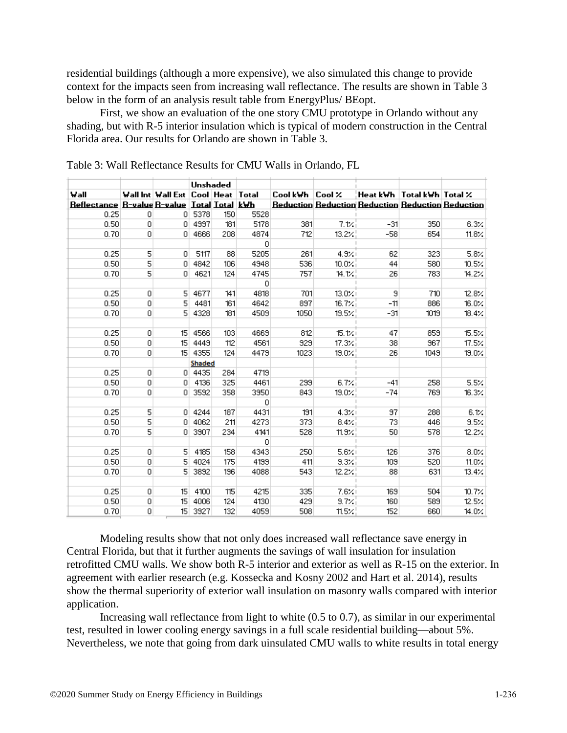residential buildings (although a more expensive), we also simulated this change to provide context for the impacts seen from increasing wall reflectance. The results are shown in Table 3 below in the form of an analysis result table from EnergyPlus/ BEopt.

First, we show an evaluation of the one story CMU prototype in Orlando without any shading, but with R-5 interior insulation which is typical of modern construction in the Central Florida area. Our results for Orlando are shown in Table 3.

|                                                             |   |                                                | Unshaded      |     |      |                 |              |                                                          |      |              |
|-------------------------------------------------------------|---|------------------------------------------------|---------------|-----|------|-----------------|--------------|----------------------------------------------------------|------|--------------|
| Wall                                                        |   | <b>Wall Int Wall Ext   Cool   Heat   Total</b> |               |     |      | Cool kWh Cool X |              | Heat kWh   Total kWh   Total %                           |      |              |
| <u> Reflectance   R-value R-value   Total   Total   kWh</u> |   |                                                |               |     |      |                 |              | <b>Reduction Reduction Reduction Reduction Reduction</b> |      |              |
| 0.25                                                        | 0 | 0.                                             | 5378          | 150 | 5528 |                 |              |                                                          |      |              |
| 0.50                                                        | 0 | 0                                              | 4997          | 181 | 5178 | 381             | 7.12         | $-31$                                                    | 350  | 6.3%         |
| 0.70                                                        | 0 | 0.                                             | 4666          | 208 | 4874 | 712             | 13.2%        | $-58$                                                    | 654  | 11.8%        |
|                                                             |   |                                                |               |     | 0    |                 |              |                                                          |      |              |
| 0.25                                                        | 5 | $\overline{0}$                                 | 5117          | 88  | 5205 | 261             | 4.9%         | 62                                                       | 323  | 5.8%         |
| 0.50                                                        | 5 | $\overline{0}$                                 | 4842          | 106 | 4948 | 536             | 10.0%        | 44                                                       | 580  | 10.5%        |
| 0.70                                                        | 5 | $\Omega$                                       | 4621          | 124 | 4745 | 757             | 14.1%        | 26                                                       | 783  | 14.2%        |
|                                                             |   |                                                |               |     | 0    |                 |              |                                                          |      |              |
| 0.25                                                        | 0 | 5                                              | 4677          | 141 | 4818 | 701             | $13.0\times$ | 9                                                        | 710  | 12.8%        |
| 0.50                                                        | 0 | 5                                              | 4481          | 161 | 4642 | 897             | 16.7%        | $-11$                                                    | 886  | 16.0%        |
| 0.70                                                        | 0 | 5                                              | 4328          | 181 | 4509 | 1050            | 19.5%        | $-31$                                                    | 1019 | $18.4\times$ |
|                                                             |   |                                                |               |     |      |                 |              |                                                          |      |              |
| 0.25                                                        | 0 | 15 <sup>1</sup>                                | 4566          | 103 | 4669 | 812             | 15.1%        | 47                                                       | 859  | 15.5%        |
| 0.50                                                        | 0 | 15                                             | 4449          | 112 | 4561 | 929             | 17.3%        | 38                                                       | 967  | 17.5%        |
| 0.70                                                        | 0 | 15 <sub>1</sub>                                | 4355          | 124 | 4479 | 1023            | 19.0%        | 26                                                       | 1049 | 19.0%        |
|                                                             |   |                                                | <b>Shaded</b> |     |      |                 |              |                                                          |      |              |
| 0.25                                                        | 0 | 0.                                             | 4435          | 284 | 4719 |                 |              |                                                          |      |              |
| 0.50                                                        | 0 | 0                                              | 4136          | 325 | 4461 | 299             | 6.7%         | $-41$                                                    | 258  | 5.5%         |
| 0.70                                                        | 0 | O.                                             | 3592          | 358 | 3950 | 843             | 19.0%        | $-74$                                                    | 769  | 16.3%        |
|                                                             |   |                                                |               |     | 0    |                 |              |                                                          |      |              |
| 0.25                                                        | 5 | 0.                                             | 4244          | 187 | 4431 | 191             | $4.3\times$  | 97                                                       | 288  | 6.1%         |
| 0.50                                                        | 5 | $\overline{0}$                                 | 4062          | 211 | 4273 | 373             | 8.4%         | 73                                                       | 446  | 9.5%         |
| 0.70                                                        | 5 | 0.                                             | 3907          | 234 | 4141 | 528             | 11.9%        | 50                                                       | 578  | 12.2%        |
|                                                             |   |                                                |               |     | 0    |                 |              |                                                          |      |              |
| 0.25                                                        | 0 | 5.                                             | 4185          | 158 | 4343 | 250             | 5.6%         | 126                                                      | 376  | 8.0%         |
| 0.50                                                        | 0 | 5                                              | 4024          | 175 | 4199 | 411             | $9.3\times$  | 109                                                      | 520  | $11.0\%$     |
| 0.70                                                        | 0 | 5                                              | 3892          | 196 | 4088 | 543             | 12.2%        | 88                                                       | 631  | 13.4%        |
|                                                             |   |                                                |               |     |      |                 |              |                                                          |      |              |
| 0.25                                                        | 0 | 15                                             | 4100          | 115 | 4215 | 335             | 7.6%         | 169                                                      | 504  | 10.7%        |
| 0.50                                                        | 0 | 15                                             | 4006          | 124 | 4130 | 429             | 9.7%         | 160                                                      | 589  | 12.5%        |
| 0.70                                                        | 0 | 15                                             | 3927          | 132 | 4059 | 508             | 11.5%        | 152                                                      | 660  | 14.0%        |

Table 3: Wall Reflectance Results for CMU Walls in Orlando, FL

Modeling results show that not only does increased wall reflectance save energy in Central Florida, but that it further augments the savings of wall insulation for insulation retrofitted CMU walls. We show both R-5 interior and exterior as well as R-15 on the exterior. In agreement with earlier research (e.g. Kossecka and Kosny 2002 and Hart et al. 2014), results show the thermal superiority of exterior wall insulation on masonry walls compared with interior application.

Increasing wall reflectance from light to white (0.5 to 0.7), as similar in our experimental test, resulted in lower cooling energy savings in a full scale residential building—about 5%. Nevertheless, we note that going from dark uinsulated CMU walls to white results in total energy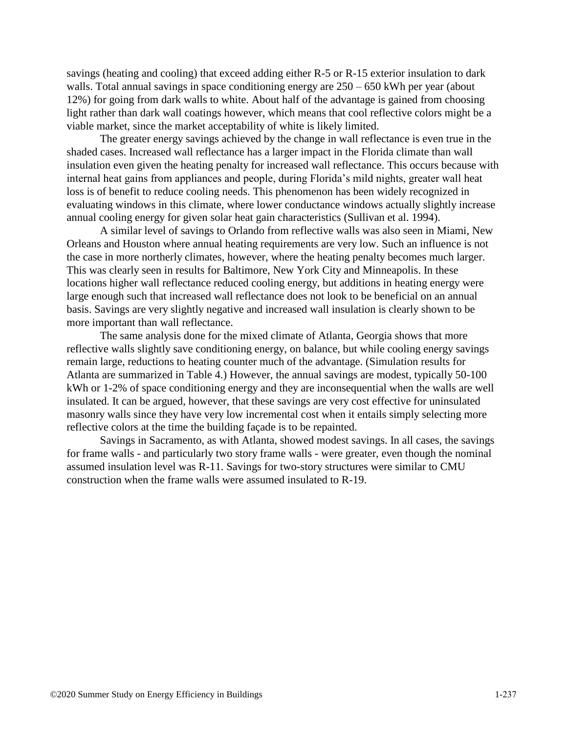savings (heating and cooling) that exceed adding either R-5 or R-15 exterior insulation to dark walls. Total annual savings in space conditioning energy are  $250 - 650$  kWh per year (about 12%) for going from dark walls to white. About half of the advantage is gained from choosing light rather than dark wall coatings however, which means that cool reflective colors might be a viable market, since the market acceptability of white is likely limited.

The greater energy savings achieved by the change in wall reflectance is even true in the shaded cases. Increased wall reflectance has a larger impact in the Florida climate than wall insulation even given the heating penalty for increased wall reflectance. This occurs because with internal heat gains from appliances and people, during Florida's mild nights, greater wall heat loss is of benefit to reduce cooling needs. This phenomenon has been widely recognized in evaluating windows in this climate, where lower conductance windows actually slightly increase annual cooling energy for given solar heat gain characteristics (Sullivan et al. 1994).

A similar level of savings to Orlando from reflective walls was also seen in Miami, New Orleans and Houston where annual heating requirements are very low. Such an influence is not the case in more northerly climates, however, where the heating penalty becomes much larger. This was clearly seen in results for Baltimore, New York City and Minneapolis. In these locations higher wall reflectance reduced cooling energy, but additions in heating energy were large enough such that increased wall reflectance does not look to be beneficial on an annual basis. Savings are very slightly negative and increased wall insulation is clearly shown to be more important than wall reflectance.

The same analysis done for the mixed climate of Atlanta, Georgia shows that more reflective walls slightly save conditioning energy, on balance, but while cooling energy savings remain large, reductions to heating counter much of the advantage. (Simulation results for Atlanta are summarized in Table 4.) However, the annual savings are modest, typically 50-100 kWh or 1-2% of space conditioning energy and they are inconsequential when the walls are well insulated. It can be argued, however, that these savings are very cost effective for uninsulated masonry walls since they have very low incremental cost when it entails simply selecting more reflective colors at the time the building façade is to be repainted.

Savings in Sacramento, as with Atlanta, showed modest savings. In all cases, the savings for frame walls - and particularly two story frame walls - were greater, even though the nominal assumed insulation level was R-11. Savings for two-story structures were similar to CMU construction when the frame walls were assumed insulated to R-19.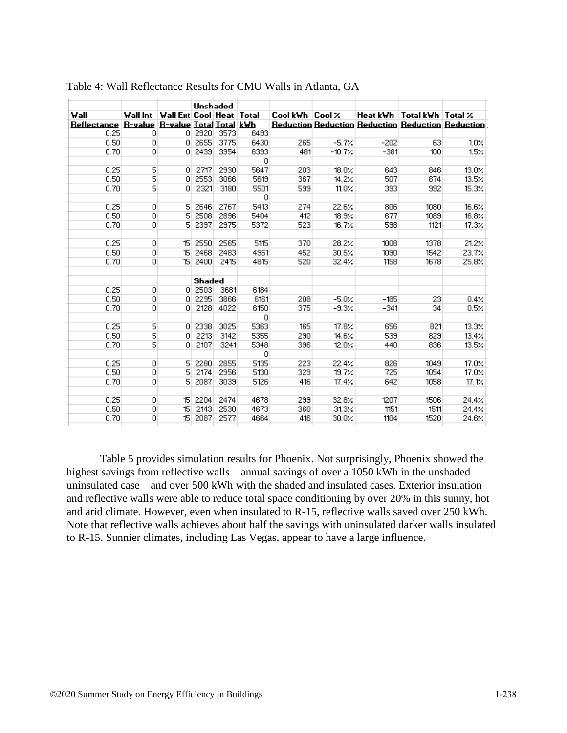|                                                               |   |                                          |               | Unshaded |              |                 |              |        |                                |                                                          |
|---------------------------------------------------------------|---|------------------------------------------|---------------|----------|--------------|-----------------|--------------|--------|--------------------------------|----------------------------------------------------------|
| Wall                                                          |   | Wall Int   Wall Ext  Cool   Heat   Total |               |          |              | Cool kWh Cool % |              |        | Heat kWh   Total kWh   Total % |                                                          |
| <u> Reflectance   R-value   R-value   Total   Total   kWh</u> |   |                                          |               |          |              |                 |              |        |                                | <b>Reduction Reduction Reduction Reduction Reduction</b> |
| 0.25                                                          | 0 |                                          | 0 2920        | 3573     | 6493         |                 |              |        |                                |                                                          |
| 0.50                                                          | 0 |                                          | $0$ 2655      | 3775     | 6430         | 265             | $-5.7\times$ | $-202$ | 63                             | 10%                                                      |
| 0.70                                                          | 0 |                                          | 0 2439        | 3954     | 6393         | 481             | $-10.7%$     | $-381$ | 100                            | 15%                                                      |
|                                                               |   |                                          |               |          | $\mathbf{0}$ |                 |              |        |                                |                                                          |
| 0.25                                                          | 5 | 0.                                       | 2717          | 2930     | 5647         | 203             | 18.0%        | 643    | 846                            | $13.0\%$                                                 |
| 0.50                                                          | 5 | $\overline{0}$                           | 2553          | 3066     | 5619         | 367             | 14.2%        | 507    | 874                            | 13.5%                                                    |
| 0.70                                                          | 5 | 0.                                       | 2321          | 3180     | 5501         | 599             | 11.0%        | 393    | 992                            | 15.3%                                                    |
|                                                               |   |                                          |               |          | $\mathbf{0}$ |                 |              |        |                                |                                                          |
| 0.25                                                          | 0 | 5                                        | 2646          | 2767     | 5413         | 274             | 22.6%        | 806    | 1080                           | 16.6%                                                    |
| 0.50                                                          | 0 | 5                                        | 2508          | 2896     | 5404         | 412             | 18.9%        | 677    | 1089                           | 16.8%                                                    |
| 0.70                                                          | 0 | 5                                        | 2397          | 2975     | 5372         | 523             | 16.7%        | 598    | 1121                           | $17.3\times$                                             |
|                                                               |   |                                          |               |          |              |                 |              |        |                                |                                                          |
| 0.25                                                          | 0 | 15                                       | 2550          | 2565     | 5115         | 370             | 28.2%        | 1008   | 1378                           | 21.2%                                                    |
| 0.50                                                          | 0 | 15 <sub>15</sub>                         | 2468          | 2483     | 4951         | 452             | 30.5%        | 1090   | 1542                           | 23.7%                                                    |
| 0.70                                                          | 0 | 15                                       | 2400          | 2415     | 4815         | 520             | 32.4%        | 1158   | 1678                           | 25.8%                                                    |
|                                                               |   |                                          |               |          |              |                 |              |        |                                |                                                          |
|                                                               |   |                                          | <b>Shaded</b> |          |              |                 |              |        |                                |                                                          |
| 0.25                                                          | 0 |                                          | 0 2503        | 3681     | 6184         |                 |              |        |                                |                                                          |
| 0.50                                                          | 0 | 0.                                       | 2295          | 3866     | 6161         | 208             | $-5.0$ %     | $-185$ | 23                             | 0.4%                                                     |
| 0.70                                                          | 0 | 0.                                       | 2128          | 4022     | 6150         | 375             | $-9.3%$      | $-341$ | 34                             | 0.5%                                                     |
|                                                               |   |                                          |               |          | $\circ$      |                 |              |        |                                |                                                          |
| 0.25                                                          | 5 |                                          | 0 2338        | 3025     | 5363         | 165             | 17.8%        | 656    | 821                            | 13.3%                                                    |
| 0.50                                                          | 5 | $\overline{0}$                           | 2213          | 3142     | 5355         | 290             | 14.6%        | 539    | 829                            | 13.4%                                                    |
| 0.70                                                          | 5 | $\Omega$                                 | 2107          | 3241     | 5348         | 396             | 12.0%        | 440    | 836                            | 13.5%                                                    |
|                                                               |   |                                          |               |          | 0            |                 |              |        |                                |                                                          |
| 0.25                                                          | 0 | 5                                        | 2280          | 2855     | 5135         | 223             | 22.4%        | 826    | 1049                           | 17.0%                                                    |
| 0.50                                                          | 0 | 5                                        | 2174          | 2956     | 5130         | 329             | 19.7%        | 725    | 1054                           | 17.0%                                                    |
| 0.70                                                          | 0 | 5                                        | 2087          | 3039     | 5126         | 416             | 17.4%        | 642    | 1058                           | 17.1%                                                    |
|                                                               |   |                                          |               |          |              |                 |              |        |                                |                                                          |
| 0.25                                                          | 0 | 15.                                      | 2204          | 2474     | 4678         | 299             | 32.8%        | 1207   | 1506                           | 24.4%                                                    |
| 0.50                                                          | 0 | 15                                       | 2143          | 2530     | 4673         | 360             | 31.3%        | 1151   | 1511                           | 24.4%                                                    |
| 0.70                                                          | 0 | 15                                       | 2087          | 2577     | 4664         | 416             | 30.0%        | 1104   | 1520                           | 24.6%                                                    |
|                                                               |   |                                          |               |          |              |                 |              |        |                                |                                                          |

| Table 4: Wall Reflectance Results for CMU Walls in Atlanta, GA |  |  |
|----------------------------------------------------------------|--|--|
|----------------------------------------------------------------|--|--|

Table 5 provides simulation results for Phoenix. Not surprisingly, Phoenix showed the highest savings from reflective walls—annual savings of over a 1050 kWh in the unshaded uninsulated case—and over 500 kWh with the shaded and insulated cases. Exterior insulation and reflective walls were able to reduce total space conditioning by over 20% in this sunny, hot and arid climate. However, even when insulated to R-15, reflective walls saved over 250 kWh. Note that reflective walls achieves about half the savings with uninsulated darker walls insulated to R-15. Sunnier climates, including Las Vegas, appear to have a large influence.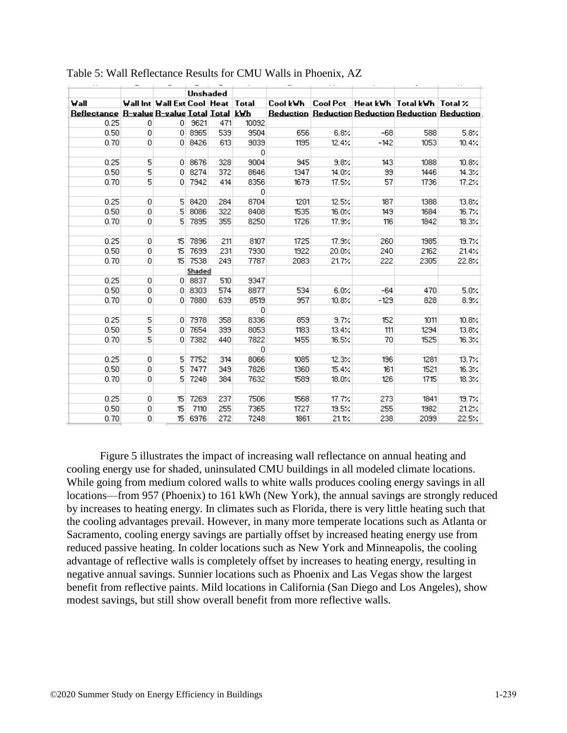| 0.25 |         |    |                                                                                                    |                                                                                                                                                                                                                       | 10092                                                     |                                                                                                                                                                                                                        |                                                                                                               |                                                                                                                                                                                                    |      |                                                                                                                                          |
|------|---------|----|----------------------------------------------------------------------------------------------------|-----------------------------------------------------------------------------------------------------------------------------------------------------------------------------------------------------------------------|-----------------------------------------------------------|------------------------------------------------------------------------------------------------------------------------------------------------------------------------------------------------------------------------|---------------------------------------------------------------------------------------------------------------|----------------------------------------------------------------------------------------------------------------------------------------------------------------------------------------------------|------|------------------------------------------------------------------------------------------------------------------------------------------|
| 0.50 |         |    |                                                                                                    |                                                                                                                                                                                                                       | 9504                                                      |                                                                                                                                                                                                                        |                                                                                                               |                                                                                                                                                                                                    |      | 5.8%                                                                                                                                     |
| 0.70 | 0       |    |                                                                                                    |                                                                                                                                                                                                                       | 9039                                                      |                                                                                                                                                                                                                        |                                                                                                               | $-142$                                                                                                                                                                                             | 1053 | 10.4%                                                                                                                                    |
|      |         |    |                                                                                                    |                                                                                                                                                                                                                       |                                                           |                                                                                                                                                                                                                        |                                                                                                               |                                                                                                                                                                                                    |      |                                                                                                                                          |
| 0.25 | 5       |    |                                                                                                    | 328                                                                                                                                                                                                                   | 9004                                                      |                                                                                                                                                                                                                        | 9.8%                                                                                                          | 143                                                                                                                                                                                                | 1088 | 10.8%                                                                                                                                    |
| 0.50 | 5       |    |                                                                                                    | 372                                                                                                                                                                                                                   |                                                           |                                                                                                                                                                                                                        | 14.0%                                                                                                         | 99                                                                                                                                                                                                 |      | $14.3\times$                                                                                                                             |
| 0.70 | 5       |    |                                                                                                    | 414                                                                                                                                                                                                                   | 8356                                                      |                                                                                                                                                                                                                        | 17.5%                                                                                                         | 57                                                                                                                                                                                                 | 1736 | 17.2%                                                                                                                                    |
|      |         |    |                                                                                                    |                                                                                                                                                                                                                       |                                                           |                                                                                                                                                                                                                        |                                                                                                               |                                                                                                                                                                                                    |      |                                                                                                                                          |
| 0.25 | 0       |    |                                                                                                    |                                                                                                                                                                                                                       | 8704                                                      |                                                                                                                                                                                                                        | 12.5%                                                                                                         | 187                                                                                                                                                                                                | 1388 | 13.8%                                                                                                                                    |
| 0.50 |         |    |                                                                                                    | 322                                                                                                                                                                                                                   | 8408                                                      |                                                                                                                                                                                                                        | 16.0%                                                                                                         | 149                                                                                                                                                                                                | 1684 | 16.7%                                                                                                                                    |
| 0.70 | 0       |    |                                                                                                    |                                                                                                                                                                                                                       | 8250                                                      |                                                                                                                                                                                                                        | 17.9%                                                                                                         | 116                                                                                                                                                                                                | 1842 | 18.3%                                                                                                                                    |
|      |         |    |                                                                                                    |                                                                                                                                                                                                                       |                                                           |                                                                                                                                                                                                                        |                                                                                                               |                                                                                                                                                                                                    |      |                                                                                                                                          |
| 0.25 | 0       |    |                                                                                                    |                                                                                                                                                                                                                       | 8107                                                      |                                                                                                                                                                                                                        | 17.9%                                                                                                         | 260                                                                                                                                                                                                | 1985 | 19.7%                                                                                                                                    |
| 0.50 | $\circ$ |    |                                                                                                    |                                                                                                                                                                                                                       | 7930                                                      | 1922                                                                                                                                                                                                                   | 20.0%                                                                                                         | 240                                                                                                                                                                                                | 2162 | 21.4%                                                                                                                                    |
| 0.70 | 0       |    |                                                                                                    |                                                                                                                                                                                                                       | 7787                                                      |                                                                                                                                                                                                                        | 21.7%                                                                                                         | 222                                                                                                                                                                                                | 2305 | 22.8%                                                                                                                                    |
|      |         |    |                                                                                                    |                                                                                                                                                                                                                       |                                                           |                                                                                                                                                                                                                        |                                                                                                               |                                                                                                                                                                                                    |      |                                                                                                                                          |
| 0.25 | $\circ$ |    |                                                                                                    |                                                                                                                                                                                                                       | 9347                                                      |                                                                                                                                                                                                                        |                                                                                                               |                                                                                                                                                                                                    |      |                                                                                                                                          |
| 0.50 | 0       |    |                                                                                                    |                                                                                                                                                                                                                       | 8877                                                      |                                                                                                                                                                                                                        |                                                                                                               | $-64$                                                                                                                                                                                              | 470  | 5.0%                                                                                                                                     |
| 0.70 | 0       |    |                                                                                                    | 639                                                                                                                                                                                                                   | 8519                                                      |                                                                                                                                                                                                                        | 10.8%                                                                                                         | $-129$                                                                                                                                                                                             | 828  | 8.9%                                                                                                                                     |
|      |         |    |                                                                                                    |                                                                                                                                                                                                                       |                                                           |                                                                                                                                                                                                                        |                                                                                                               |                                                                                                                                                                                                    |      |                                                                                                                                          |
| 0.25 | 5       |    |                                                                                                    | 358                                                                                                                                                                                                                   |                                                           |                                                                                                                                                                                                                        | 9.7%                                                                                                          | 152                                                                                                                                                                                                | 1011 | 10.8%                                                                                                                                    |
| 0.50 | 5       |    |                                                                                                    |                                                                                                                                                                                                                       |                                                           |                                                                                                                                                                                                                        |                                                                                                               | 111                                                                                                                                                                                                | 1294 | 13.8%                                                                                                                                    |
| 0.70 | 5       |    |                                                                                                    | 440                                                                                                                                                                                                                   | 7822                                                      |                                                                                                                                                                                                                        | 16.5%                                                                                                         | 70                                                                                                                                                                                                 | 1525 | 16.3%                                                                                                                                    |
|      |         |    |                                                                                                    |                                                                                                                                                                                                                       |                                                           |                                                                                                                                                                                                                        |                                                                                                               |                                                                                                                                                                                                    |      |                                                                                                                                          |
| 0.25 | 0       |    |                                                                                                    |                                                                                                                                                                                                                       |                                                           |                                                                                                                                                                                                                        | 12.3%                                                                                                         | 196                                                                                                                                                                                                | 1281 | 13.7%                                                                                                                                    |
| 0.50 | 0       |    |                                                                                                    |                                                                                                                                                                                                                       | 7826                                                      | 1360                                                                                                                                                                                                                   | 15.4%                                                                                                         | 161                                                                                                                                                                                                | 1521 | 16.3%                                                                                                                                    |
| 0.70 | 0       |    |                                                                                                    | 384                                                                                                                                                                                                                   | 7632                                                      |                                                                                                                                                                                                                        | 18.0%                                                                                                         | 126                                                                                                                                                                                                | 1715 | 18.3%                                                                                                                                    |
|      |         |    |                                                                                                    |                                                                                                                                                                                                                       |                                                           |                                                                                                                                                                                                                        |                                                                                                               |                                                                                                                                                                                                    |      |                                                                                                                                          |
| 0.25 |         |    | 7269                                                                                               | 237                                                                                                                                                                                                                   |                                                           |                                                                                                                                                                                                                        | 17.7%                                                                                                         | 273                                                                                                                                                                                                | 1841 | 19.7%                                                                                                                                    |
| 0.50 |         | 15 | 7110                                                                                               |                                                                                                                                                                                                                       |                                                           |                                                                                                                                                                                                                        | 19.5%                                                                                                         | 255                                                                                                                                                                                                | 1982 | 21.2%                                                                                                                                    |
| 0.70 |         |    |                                                                                                    |                                                                                                                                                                                                                       |                                                           |                                                                                                                                                                                                                        |                                                                                                               | 238                                                                                                                                                                                                | 2099 | 22.5%                                                                                                                                    |
|      | Wall    |    | $\Omega$<br>$\overline{0}$<br>$\overline{0}$<br>$\overline{0}$<br>$\overline{0}$<br>$\overline{0}$ | 0 8426<br>0 8676<br>0 8274<br>$0$ 7942<br>5 8420<br>5 8086<br>5 7895<br>15 7896<br>15 7699<br>0 8837<br>0 8303<br>0 7880<br>0 7978<br>$0$ 7654<br>0 7382<br>5 7752<br>5 7477<br>5 7248<br>15 <sup>15</sup><br>15 6976 | Unshaded<br>0 9621<br>0 8965 <br>15 7538<br><b>Shaded</b> | <b>Wall Int   Wall Ext Cool   Heat   Total  </b><br><u> Reflectance   R-value R-value Total   Iotal   kWh</u><br>471<br>539<br>613<br>284<br>355<br>211<br>231<br>249<br>510<br>574<br>399<br>314<br>349<br>255<br>272 | $\overline{0}$<br>8646<br>$\mathbf{0}$<br>0<br>8336<br>8053<br>$\overline{0}$<br>8066<br>7506<br>7365<br>7248 | 656<br>6.8%<br>1195<br>12.4%<br>945<br>1347<br>1679<br>1201<br>1535<br>1726<br>1725<br>2083<br>534<br>6.0%<br>957<br>859<br>1183<br>13.4%<br>1455<br>1085<br>1589<br>1568<br>1727<br>1861<br>21.1% |      | Cool kWh   Cool Pet   Heat kWh   Total kWh   Total %<br><b>Reduction Reduction Reduction Reduction Reduction</b><br>$-68$<br>588<br>1446 |

Table 5: Wall Reflectance Results for CMU Walls in Phoenix, AZ

Figure 5 illustrates the impact of increasing wall reflectance on annual heating and cooling energy use for shaded, uninsulated CMU buildings in all modeled climate locations. While going from medium colored walls to white walls produces cooling energy savings in all locations—from 957 (Phoenix) to 161 kWh (New York), the annual savings are strongly reduced by increases to heating energy. In climates such as Florida, there is very little heating such that the cooling advantages prevail. However, in many more temperate locations such as Atlanta or Sacramento, cooling energy savings are partially offset by increased heating energy use from reduced passive heating. In colder locations such as New York and Minneapolis, the cooling advantage of reflective walls is completely offset by increases to heating energy, resulting in negative annual savings. Sunnier locations such as Phoenix and Las Vegas show the largest benefit from reflective paints. Mild locations in California (San Diego and Los Angeles), show modest savings, but still show overall benefit from more reflective walls.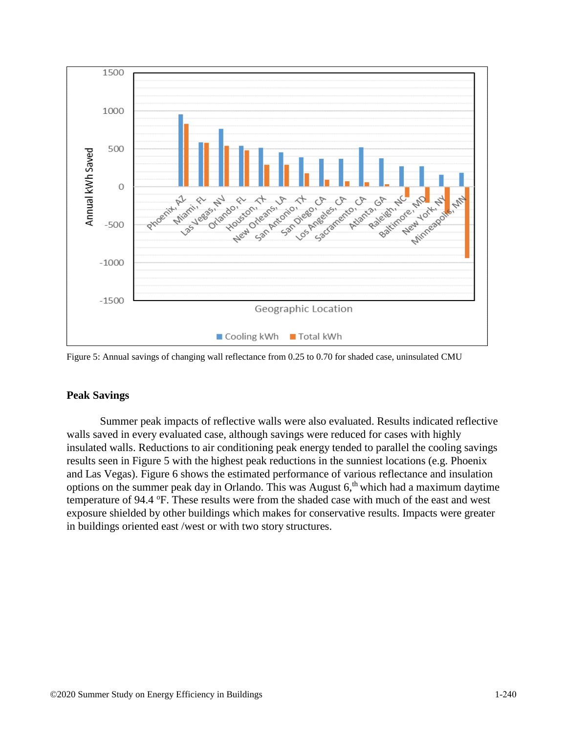![](_page_12_Figure_0.jpeg)

Figure 5: Annual savings of changing wall reflectance from 0.25 to 0.70 for shaded case, uninsulated CMU

# **Peak Savings**

Summer peak impacts of reflective walls were also evaluated. Results indicated reflective walls saved in every evaluated case, although savings were reduced for cases with highly insulated walls. Reductions to air conditioning peak energy tended to parallel the cooling savings results seen in Figure 5 with the highest peak reductions in the sunniest locations (e.g. Phoenix and Las Vegas). Figure 6 shows the estimated performance of various reflectance and insulation options on the summer peak day in Orlando. This was August  $6$ ,<sup>th</sup> which had a maximum daytime temperature of 94.4 °F. These results were from the shaded case with much of the east and west exposure shielded by other buildings which makes for conservative results. Impacts were greater in buildings oriented east /west or with two story structures.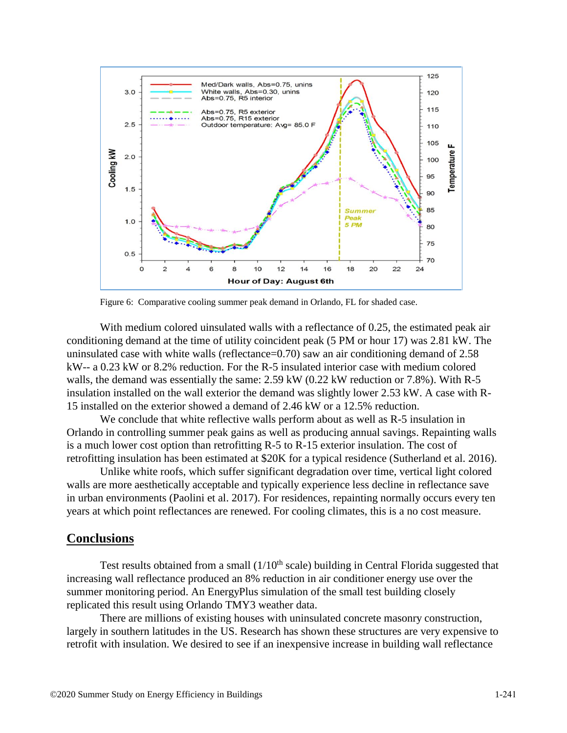![](_page_13_Figure_0.jpeg)

Figure 6: Comparative cooling summer peak demand in Orlando, FL for shaded case.

With medium colored uinsulated walls with a reflectance of 0.25, the estimated peak air conditioning demand at the time of utility coincident peak (5 PM or hour 17) was 2.81 kW. The uninsulated case with white walls (reflectance=0.70) saw an air conditioning demand of 2.58 kW-- a 0.23 kW or 8.2% reduction. For the R-5 insulated interior case with medium colored walls, the demand was essentially the same: 2.59 kW (0.22 kW reduction or 7.8%). With R-5 insulation installed on the wall exterior the demand was slightly lower 2.53 kW. A case with R-15 installed on the exterior showed a demand of 2.46 kW or a 12.5% reduction.

We conclude that white reflective walls perform about as well as R-5 insulation in Orlando in controlling summer peak gains as well as producing annual savings. Repainting walls is a much lower cost option than retrofitting R-5 to R-15 exterior insulation. The cost of retrofitting insulation has been estimated at \$20K for a typical residence (Sutherland et al. 2016).

Unlike white roofs, which suffer significant degradation over time, vertical light colored walls are more aesthetically acceptable and typically experience less decline in reflectance save in urban environments (Paolini et al. 2017). For residences, repainting normally occurs every ten years at which point reflectances are renewed. For cooling climates, this is a no cost measure.

# **Conclusions**

Test results obtained from a small  $(1/10<sup>th</sup> scale)$  building in Central Florida suggested that increasing wall reflectance produced an 8% reduction in air conditioner energy use over the summer monitoring period. An EnergyPlus simulation of the small test building closely replicated this result using Orlando TMY3 weather data.

There are millions of existing houses with uninsulated concrete masonry construction, largely in southern latitudes in the US. Research has shown these structures are very expensive to retrofit with insulation. We desired to see if an inexpensive increase in building wall reflectance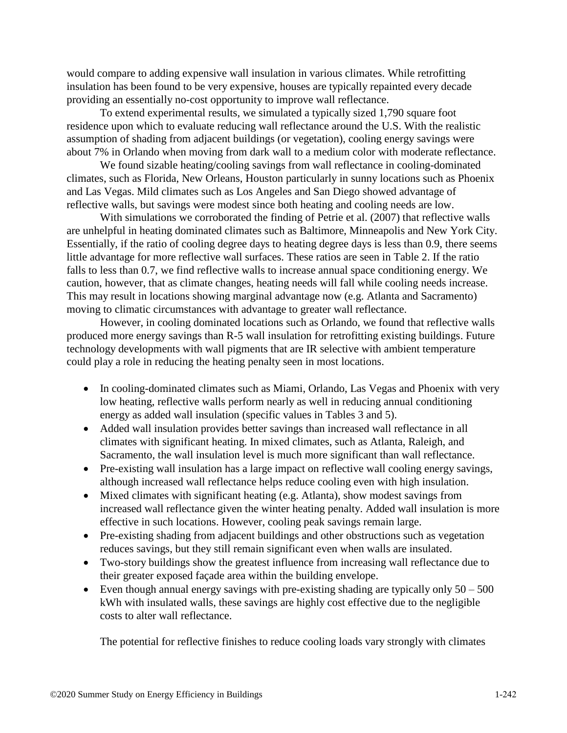would compare to adding expensive wall insulation in various climates. While retrofitting insulation has been found to be very expensive, houses are typically repainted every decade providing an essentially no-cost opportunity to improve wall reflectance.

To extend experimental results, we simulated a typically sized 1,790 square foot residence upon which to evaluate reducing wall reflectance around the U.S. With the realistic assumption of shading from adjacent buildings (or vegetation), cooling energy savings were about 7% in Orlando when moving from dark wall to a medium color with moderate reflectance.

We found sizable heating/cooling savings from wall reflectance in cooling-dominated climates, such as Florida, New Orleans, Houston particularly in sunny locations such as Phoenix and Las Vegas. Mild climates such as Los Angeles and San Diego showed advantage of reflective walls, but savings were modest since both heating and cooling needs are low.

With simulations we corroborated the finding of Petrie et al. (2007) that reflective walls are unhelpful in heating dominated climates such as Baltimore, Minneapolis and New York City. Essentially, if the ratio of cooling degree days to heating degree days is less than 0.9, there seems little advantage for more reflective wall surfaces. These ratios are seen in Table 2. If the ratio falls to less than 0.7, we find reflective walls to increase annual space conditioning energy. We caution, however, that as climate changes, heating needs will fall while cooling needs increase. This may result in locations showing marginal advantage now (e.g. Atlanta and Sacramento) moving to climatic circumstances with advantage to greater wall reflectance.

However, in cooling dominated locations such as Orlando, we found that reflective walls produced more energy savings than R-5 wall insulation for retrofitting existing buildings. Future technology developments with wall pigments that are IR selective with ambient temperature could play a role in reducing the heating penalty seen in most locations.

- In cooling-dominated climates such as Miami, Orlando, Las Vegas and Phoenix with very low heating, reflective walls perform nearly as well in reducing annual conditioning energy as added wall insulation (specific values in Tables 3 and 5).
- Added wall insulation provides better savings than increased wall reflectance in all climates with significant heating. In mixed climates, such as Atlanta, Raleigh, and Sacramento, the wall insulation level is much more significant than wall reflectance.
- Pre-existing wall insulation has a large impact on reflective wall cooling energy savings, although increased wall reflectance helps reduce cooling even with high insulation.
- Mixed climates with significant heating (e.g. Atlanta), show modest savings from increased wall reflectance given the winter heating penalty. Added wall insulation is more effective in such locations. However, cooling peak savings remain large.
- Pre-existing shading from adjacent buildings and other obstructions such as vegetation reduces savings, but they still remain significant even when walls are insulated.
- Two-story buildings show the greatest influence from increasing wall reflectance due to their greater exposed façade area within the building envelope.
- Even though annual energy savings with pre-existing shading are typically only  $50 500$ kWh with insulated walls, these savings are highly cost effective due to the negligible costs to alter wall reflectance.

The potential for reflective finishes to reduce cooling loads vary strongly with climates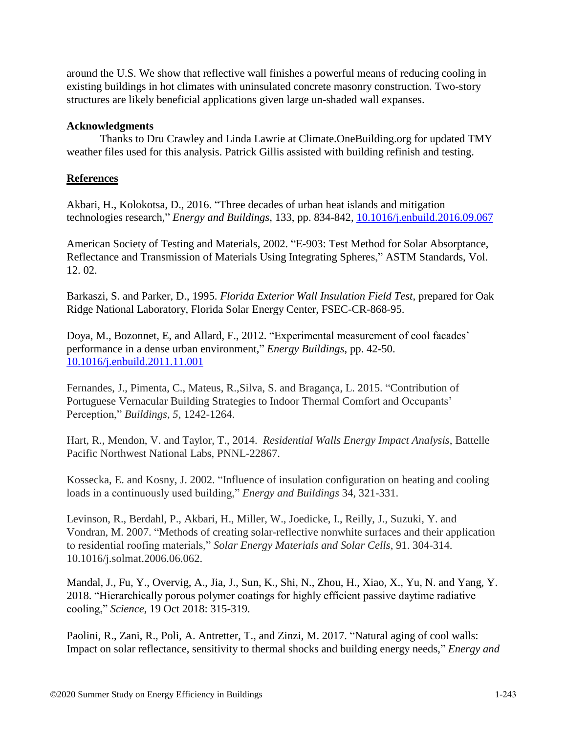around the U.S. We show that reflective wall finishes a powerful means of reducing cooling in existing buildings in hot climates with uninsulated concrete masonry construction. Two-story structures are likely beneficial applications given large un-shaded wall expanses.

# **Acknowledgments**

Thanks to Dru Crawley and Linda Lawrie at Climate.OneBuilding.org for updated TMY weather files used for this analysis. Patrick Gillis assisted with building refinish and testing.

# **References**

Akbari, H., Kolokotsa, D., 2016. "Three decades of urban heat islands and mitigation technologies research," *Energy and Buildings*, 133, pp. 834-842, [10.1016/j.enbuild.2016.09.067](https://doi.org/10.1016/j.enbuild.2016.09.067)

American Society of Testing and Materials, 2002. "E-903: Test Method for Solar Absorptance, Reflectance and Transmission of Materials Using Integrating Spheres," ASTM Standards, Vol. 12. 02.

Barkaszi, S. and Parker, D., 1995. *Florida Exterior Wall Insulation Field Test*, prepared for Oak Ridge National Laboratory, Florida Solar Energy Center, FSEC-CR-868-95.

Doya, M., Bozonnet, E, and Allard, F., 2012. "Experimental measurement of cool facades' performance in a dense urban environment," *Energy Buildings*, pp. 42-50. [10.1016/j.enbuild.2011.11.001](https://doi.org/10.1016/j.enbuild.2011.11.001)

Fernandes, J., Pimenta, C., Mateus, R.,Silva, S. and Bragança, L. 2015. "Contribution of Portuguese Vernacular Building Strategies to Indoor Thermal Comfort and Occupants' Perception," *Buildings*, *5*, 1242-1264.

Hart, R., Mendon, V. and Taylor, T., 2014. *Residential Walls Energy Impact Analysis*, Battelle Pacific Northwest National Labs, PNNL-22867.

Kossecka, E. and Kosny, J. 2002. "Influence of insulation configuration on heating and cooling loads in a continuously used building," *Energy and Buildings* 34, 321-331.

Levinson, R., Berdahl, P., Akbari, H., Miller, W., Joedicke, I., Reilly, J., Suzuki, Y. and Vondran, M. 2007. "Methods of creating solar-reflective nonwhite surfaces and their application to residential roofing materials," *Solar Energy Materials and Solar Cells*, 91. 304-314. 10.1016/j.solmat.2006.06.062.

Mandal, J., Fu, Y., Overvig, A., Jia, J., Sun, K., Shi, N., Zhou, H., Xiao, X., Yu, N. and Yang, Y. 2018. "Hierarchically porous polymer coatings for highly efficient passive daytime radiative cooling," *Science,* 19 Oct 2018: 315-319.

Paolini, R., Zani, R., Poli, A. Antretter, T., and Zinzi, M. 2017. "Natural aging of cool walls: Impact on solar reflectance, sensitivity to thermal shocks and building energy needs," *Energy and*